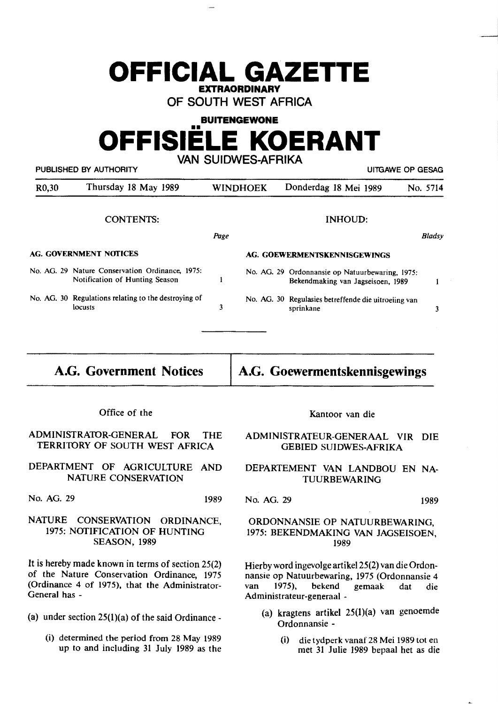## **OFFICIAL GAZETTE EXTRAORDINARY**

**OF SOUTH WEST AFRICA** 

#### **BUITENGEWONE**

# **OFFISIELE KOERANT**

**VAN SUIDWES-AFRIKA** 

PUBLISHED BY AUTHORITY **EXECUTE A SECURE 2018 THE SECULIAR SECURE 2019** UITGAWE OP GESAG

| R <sub>0</sub> ,30     | Thursday 18 May 1989                                                              |                              | <b>WINDHOEK</b> | Donderdag 18 Mei 1989                                                                | No. 5714 |
|------------------------|-----------------------------------------------------------------------------------|------------------------------|-----------------|--------------------------------------------------------------------------------------|----------|
|                        | <b>CONTENTS:</b>                                                                  |                              |                 | <b>INHOUD:</b>                                                                       |          |
|                        |                                                                                   | Page                         |                 |                                                                                      | Bladsy   |
| AG. GOVERNMENT NOTICES |                                                                                   | AG. GOEWERMENTSKENNISGEWINGS |                 |                                                                                      |          |
|                        | No. AG. 29 Nature Conservation Ordinance, 1975:<br>Notification of Hunting Season |                              |                 | No. AG. 29 Ordonnansie op Natuurbewaring, 1975:<br>Bekendmaking van Jagseisoen, 1989 |          |
|                        | No. AG. 30 Regulations relating to the destroying of<br>locusts                   | 3                            |                 | No. AG. 30 Regulasies betreffende die uitroeiing van<br>sprinkane                    | 3        |

Office of the

ADMINISTRA10R-GENERAL FOR THE TERRITORY OF SOUTH WEST AFRICA

DEPARTMENT OF AGRICULTURE AND NATURE CONSERVATION

No. AG. 29 1989

### NATURE CONSERVATION ORDINANCE, 1975: NOfIFICATION OF HUNTING **SEASON,** 1989

It is hereby made known in terms of section 25(2) of the Nature Conservation Ordinance, 1975 (Ordinance 4 of 1975), that the Administrator-General has -

- (a) under section  $25(1)(a)$  of the said Ordinance -
	- (i) determined the period from 28 May 1989 up to and including 31 July 1989 as the

Kantoor van die

#### ADMINISTRATEUR-GENERAAL VIR DIE GEBIED SUIDWES-AFRIKA

DEPARTEMENT VAN LANDBOU EN NA-TUURBEWARING

No. AG. 29 **1989** 

#### ORDONNANSIE OP NATUURBEWARING, 1975: BEKENDMAKING VAN JAGSEISOEN, 1989

Hierby word ingevolge artikel 25(2) van die Ordonnansie op Natuurbewaring, 1975 (Ordonnansie 4 van 1975), bekend gemaak dat die Administrateur-generaal -

- (a) kragtens artikel 25(1)(a) van genoemde Ordonnansie -
	- (i) die tydperk vanaf 28 Mei 1989 tot en met 31 Julie 1989 bepaal het as die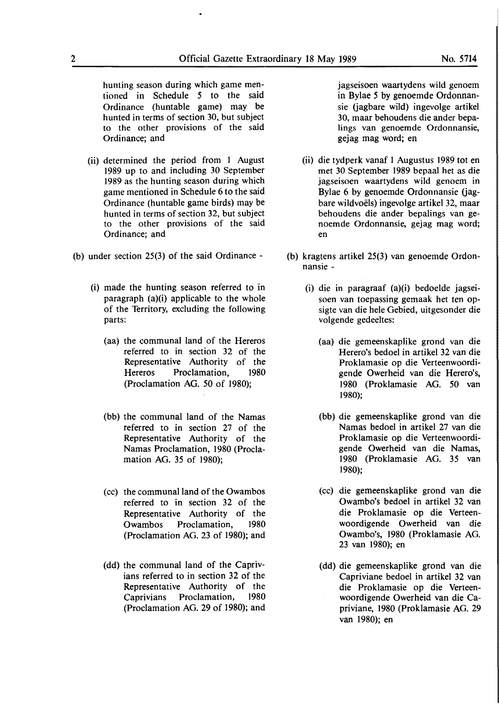hunting season during which game mentioned in Schedule *5* to the said Ordinance (huntable game) may be hunted in terms of section 30, but subject to the other **provisions** of the said Ordinance; and

- (ii) determined the period from 1 August 1989 up to and including 30 September 1989 as the hunting season during which game mentioned in Schedule 6 to the said Ordinance (huntable game birds) may be hunted in terms of section 32, but subject to the other provisions of the said Ordinance; and
- (b) under section 25(3) of the said Ordinance
	- (i) made the hunting season referred to in paragraph (a)(i) applicable to the whole of the Territory, excluding the following parts:
		- (aa) the communal land of the Hereros referred to in section 32 of the Representative Authority of the Hereros Proclamation, 1980 (Proclamation AG. 50 of 1980);
		- (bb) the communal **land** of the Namas referred to in section 27 of the Representative Authority of the Namas **Proclamation,** 1980 (Proclamation **AG. 35** of 1980);
		- ( cc) the communal land of the Owambos referred to in section 32 of the Representative Authority of the Owambos Proclamation, 1980 (Proclamation AG. 23 of **1980);** and
		- **(dd)** the communal land of the Caprivians referred to in section 32 of the Representative Authority of the Caprivians Proclamation, 1980 (Proclamation AG. 29 of 1980); and

jagseisoen waartydens wild genoem in Bylae *5* by genoemde Ordonnansie (jagbare wild) ingevolge artikel 30, maar behoudens die ander bepalings van genoemde Ordonnansie, gejag mag word; en

- (ii) die tydperk vanaf 1 Augustus 1989 tot en met 30 September 1989 bepaal het as die jagseisoen waartydens wild genoem in Bylae 6 by genoemde Ordonnansie (jagbare wildvoels) ingevolge artikel 32, maar behoudens **die ander** bepalings van **ge**noemde **Ordonnansie,** gejag mag **word;**  en
- **(b)** kragtens artikel **25(3)** van genoemde Ordonnansie -
	- (i) die in paragraaf (a)(i) bedoelde jagseisoen van toepassing gemaak het ten opsigte van die **hele Gebied,** uitgesonder **die**  volgende **gedeeltes:** 
		- (aa) die **gemeenskaplike** grond van **die**  Herero's **bedoel in** artikel 32 van **die**  Proklamasie op die Verteenwoordigende Owerheid van die Herero's, 1980 (Proklamasie AG. *50* van **1980);**
		- (bb) die gemeenskaplike grond van die Namas bedoel in artikel 27 van die Proklamasie op die Verteenwoordigende Owerheid van die Namas, 1980 (Proklamasie AG. 35 van 1980);
		- (cc) die gemeenskaplike grond van die Owambo's bedoel in artikel 32 van die Proklamasie op die Verteenwoordigende Owerheid van die Owambo's, 1980 (Proklamasie AG. 23 van 1980); en
		- (dd) die gemeenskaplike grond van die Capriviane bedoel in artikel 32 van die Proklamasie op die Verteenwoordigende Owerheid van die Capriviane, 1980 (Proklamasie AG. 29 **van** 1980); en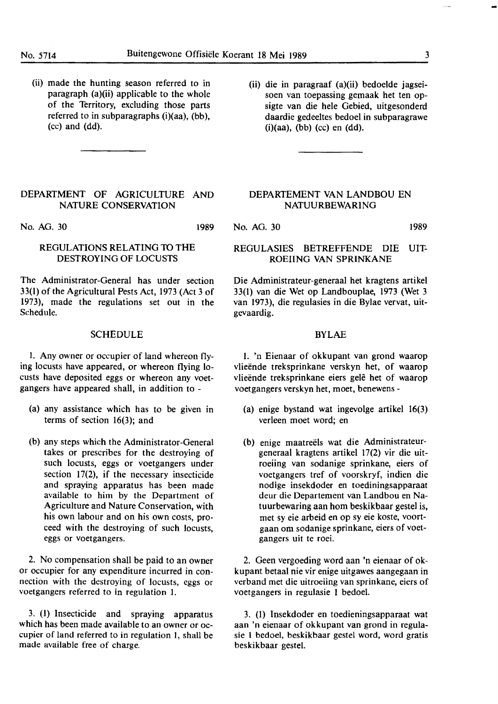**1989** 

(ii) made the hunting season referred to in paragraph (a)(ii) applicable to the whole of the Territory, excluding those parts referred to in subparagraphs **(i)(aa),** (bb), (cc) and (dd).

#### DEPARTMENT OF AGRICULTURE AND NATURE CONSERVATION

No. AG. 30

### REGULATIONS RELATING 10 THE DESTROYING OF LOCUSTS

The Administrator-General has under section 33(1) of the Agricultural Pests Act, 1973 (Act 3 of 1973), made the regulations set out in the Schedule.

#### SCHEDULE

I. Any owner or occupier of land whereon flying locusts have appeared, or whereon flying locusts have deposited eggs or whereon any voetgangers have appeared shall, in addition to -

- (a) any assistance which has to be given in terms of section 16(3); and
- (b) any steps which the Administrator-General takes or prescribes for the destroying of such locusts, eggs or voetgangers under section 17(2), if the necessary insecticide and spraying apparatus has been made available to him by the Department of Agriculture and Nature Conservation, with his own labour and on his own costs, proceed with the destroying of such locusts, eggs or voetgangers.

2. No compensation shall be paid to an owner or occupier for any expenditure incurred in connection with the destroying of locusts, eggs or voetgangers referred to in regulation 1.

3. (I) Insecticide and spraying apparatus which has been made available to an owner or occupier of land referred to in regulation 1, shall be made available free of charge.

(ii) die in paragraaf (a)(ii) bedoelde jagseisoen van toepassing gemaak het ten opsigte van die hele Gebied, uitgesonderd daardie gedeeltes bedoel in subparagrawe  $(i)(aa)$ ,  $(bb)$   $(cc)$  en  $(dd)$ .

### DEPARTEMENT VAN LANDBOU EN NATUURBEWARING

No. AG. 30 1989

#### REGULASIES BETREFFENDE DIE UIT-ROEIING VAN SPRINKANE

Die Administrateur-generaal het kragtens artikel 33(1) van die Wet op Landbouplae, 1973 (Wet 3 van 1973), die regulasies in die Bylae vervat, uitgevaardig.

#### BYLAE

1. 'n Eienaar of okkupant van grond waarop vlieënde treksprinkane verskyn het, of waarop vlieënde treksprinkane eiers gelê het of waarop voetgangers verskyn het, moet, benewens -

- (a) enige bystand wat ingevolge artikel 16(3) verleen moet word; en
- (b) enige maatreels wat die Administrateurgeneraal kragtens artikel 17(2) vir die uitroeiing van sodanige sprinkane, eiers of voetgangers tref of voorskryf, indien die nodige insekdoder en toediningsapparaat deur die Departement van Landbou en Natuurbewaring aan horn beskikbaar gestel is, met sy eie arbeid en op sy eie koste, voortgaan om sodanige sprinkane, eiers of voetgangers uit te roei.

2. Geen vergoeding word aan 'n eienaar of okkupant betaal nie vir enige uitgawes aangegaan in verband met die uitroeiing van sprinkane, eiers of voetgangers in regulasie 1 bedoel.

3. (1) Insekdoder en toedieningsapparaat wat aan 'n eienaar of okkupant van grond in regulasie 1 bedoel, beskikbaar gestel word, word gratis beskikbaar gestel.